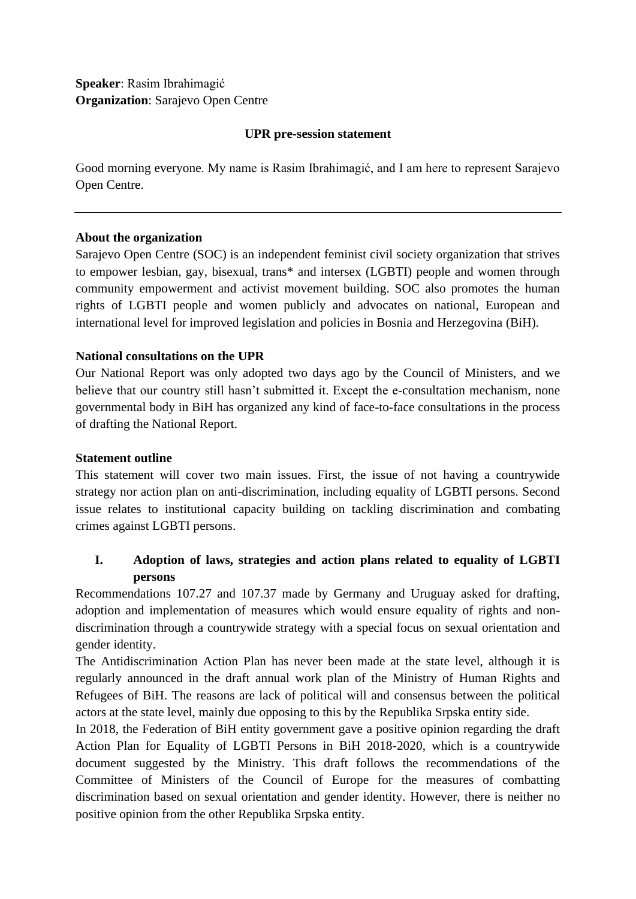# **Speaker**: Rasim Ibrahimagić **Organization**: Sarajevo Open Centre

#### **UPR pre-session statement**

Good morning everyone. My name is Rasim Ibrahimagić, and I am here to represent Sarajevo Open Centre.

## **About the organization**

Sarajevo Open Centre (SOC) is an independent feminist civil society organization that strives to empower lesbian, gay, bisexual, trans\* and intersex (LGBTI) people and women through community empowerment and activist movement building. SOC also promotes the human rights of LGBTI people and women publicly and advocates on national, European and international level for improved legislation and policies in Bosnia and Herzegovina (BiH).

## **National consultations on the UPR**

Our National Report was only adopted two days ago by the Council of Ministers, and we believe that our country still hasn't submitted it. Except the e-consultation mechanism, none governmental body in BiH has organized any kind of face-to-face consultations in the process of drafting the National Report.

#### **Statement outline**

This statement will cover two main issues. First, the issue of not having a countrywide strategy nor action plan on anti-discrimination, including equality of LGBTI persons. Second issue relates to institutional capacity building on tackling discrimination and combating crimes against LGBTI persons.

## **I. Adoption of laws, strategies and action plans related to equality of LGBTI persons**

Recommendations 107.27 and 107.37 made by Germany and Uruguay asked for drafting, adoption and implementation of measures which would ensure equality of rights and nondiscrimination through a countrywide strategy with a special focus on sexual orientation and gender identity.

The Antidiscrimination Action Plan has never been made at the state level, although it is regularly announced in the draft annual work plan of the Ministry of Human Rights and Refugees of BiH. The reasons are lack of political will and consensus between the political actors at the state level, mainly due opposing to this by the Republika Srpska entity side.

In 2018, the Federation of BiH entity government gave a positive opinion regarding the draft Action Plan for Equality of LGBTI Persons in BiH 2018-2020, which is a countrywide document suggested by the Ministry. This draft follows the recommendations of the Committee of Ministers of the Council of Europe for the measures of combatting discrimination based on sexual orientation and gender identity. However, there is neither no positive opinion from the other Republika Srpska entity.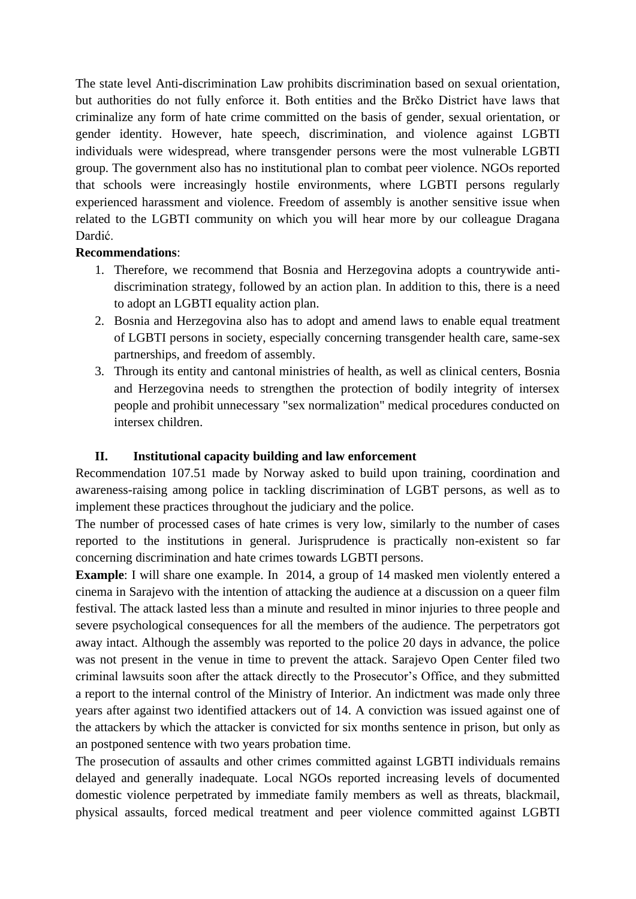The state level Anti-discrimination Law prohibits discrimination based on sexual orientation, but authorities do not fully enforce it. Both entities and the Brčko District have laws that criminalize any form of hate crime committed on the basis of gender, sexual orientation, or gender identity. However, hate speech, discrimination, and violence against LGBTI individuals were widespread, where transgender persons were the most vulnerable LGBTI group. The government also has no institutional plan to combat peer violence. NGOs reported that schools were increasingly hostile environments, where LGBTI persons regularly experienced harassment and violence. Freedom of assembly is another sensitive issue when related to the LGBTI community on which you will hear more by our colleague Dragana Dardić.

#### **Recommendations**:

- 1. Therefore, we recommend that Bosnia and Herzegovina adopts a countrywide antidiscrimination strategy, followed by an action plan. In addition to this, there is a need to adopt an LGBTI equality action plan.
- 2. Bosnia and Herzegovina also has to adopt and amend laws to enable equal treatment of LGBTI persons in society, especially concerning transgender health care, same-sex partnerships, and freedom of assembly.
- 3. Through its entity and cantonal ministries of health, as well as clinical centers, Bosnia and Herzegovina needs to strengthen the protection of bodily integrity of intersex people and prohibit unnecessary "sex normalization" medical procedures conducted on intersex children.

## **II. Institutional capacity building and law enforcement**

Recommendation 107.51 made by Norway asked to build upon training, coordination and awareness-raising among police in tackling discrimination of LGBT persons, as well as to implement these practices throughout the judiciary and the police.

The number of processed cases of hate crimes is very low, similarly to the number of cases reported to the institutions in general. Jurisprudence is practically non-existent so far concerning discrimination and hate crimes towards LGBTI persons.

**Example**: I will share one example. In 2014, a group of 14 masked men violently entered a cinema in Sarajevo with the intention of attacking the audience at a discussion on a queer film festival. The attack lasted less than a minute and resulted in minor injuries to three people and severe psychological consequences for all the members of the audience. The perpetrators got away intact. Although the assembly was reported to the police 20 days in advance, the police was not present in the venue in time to prevent the attack. Sarajevo Open Center filed two criminal lawsuits soon after the attack directly to the Prosecutor's Office, and they submitted a report to the internal control of the Ministry of Interior. An indictment was made only three years after against two identified attackers out of 14. A conviction was issued against one of the attackers by which the attacker is convicted for six months sentence in prison, but only as an postponed sentence with two years probation time.

The prosecution of assaults and other crimes committed against LGBTI individuals remains delayed and generally inadequate. Local NGOs reported increasing levels of documented domestic violence perpetrated by immediate family members as well as threats, blackmail, physical assaults, forced medical treatment and peer violence committed against LGBTI